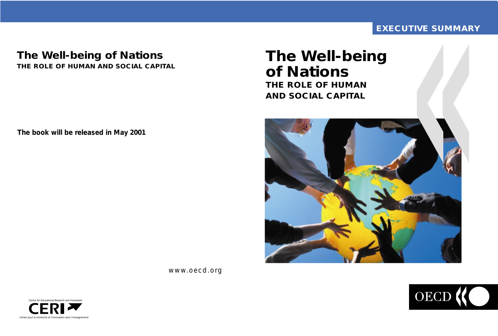# **EXECUTIVE SUMMARY TIVE SUMMAI**

# **The Well-being of Nations THE ROLE OF HUMAN AND SOCIAL CAPITAL**



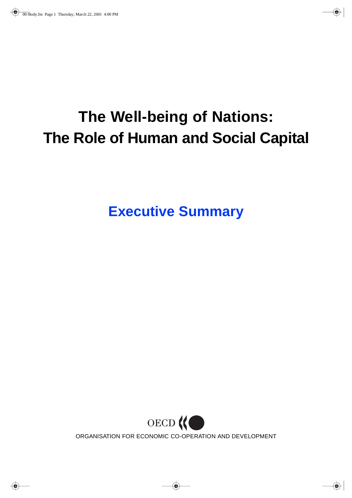# **The Well-being of Nations: The Role of Human and Social Capital**

**Executive Summary**

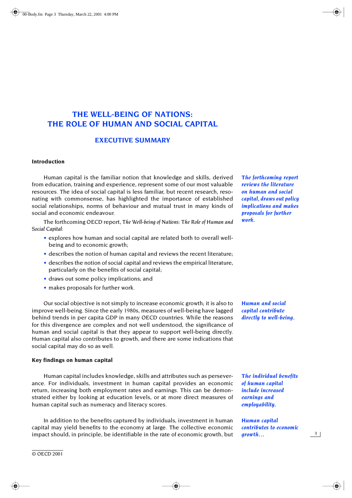## **THE WELL-BEING OF NATIONS: THE ROLE OF HUMAN AND SOCIAL CAPITAL**

### **EXECUTIVE SUMMARY**

### **Introduction**

Human capital is the familiar notion that knowledge and skills, derived from education, training and experience, represent some of our most valuable resources. The idea of social capital is less familiar, but recent research, resonating with commonsense, has highlighted the importance of established social relationships, norms of behaviour and mutual trust in many kinds of social and economic endeavour.

The forthcoming OECD report, *The Well-being of Nations: The Role of Human and Social Capital*:

- explores how human and social capital are related both to overall wellbeing and to economic growth;
- describes the notion of human capital and reviews the recent literature;
- describes the notion of social capital and reviews the empirical literature, particularly on the benefits of social capital;
- draws out some policy implications; and
- makes proposals for further work.

Our social objective is not simply to increase economic growth; it is also to improve well-being. Since the early 1980s, measures of well-being have lagged behind trends in per capita GDP in many OECD countries. While the reasons for this divergence are complex and not well understood, the significance of human and social capital is that they appear to support well-being directly. Human capital also contributes to growth, and there are some indications that social capital may do so as well.

### **Key findings on human capital**

Human capital includes knowledge, skills and attributes such as perseverance. For individuals, investment in human capital provides an economic return, increasing both employment rates and earnings. This can be demonstrated either by looking at education levels, or at more direct measures of human capital such as numeracy and literacy scores.

In addition to the benefits captured by individuals, investment in human capital may yield benefits to the economy at large. The collective economic impact should, in principle, be identifiable in the rate of economic growth, but *The forthcoming report reviews the literature on human and social capital, draws out policy implications and makes proposals for further work.*

*Human and social capital contribute directly to well-being.*

*The individual benefits of human capital include increased earnings and employability.*

*Human capital contributes to economic growth…*

 *3*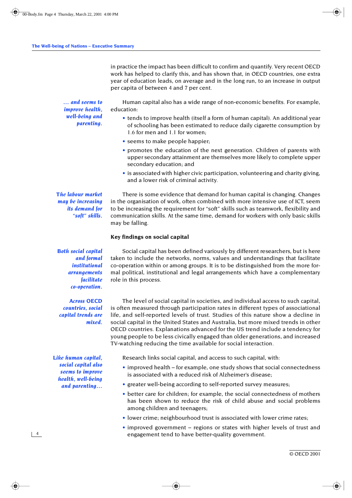in practice the impact has been difficult to confirm and quantify. Very recent OECD work has helped to clarify this, and has shown that, in OECD countries, one extra year of education leads, on average and in the long run, to an increase in output per capita of between 4 and 7 per cent.

*… and seems to improve health, well-being and parenting.*

Human capital also has a wide range of non-economic benefits. For example, education:

- tends to improve health (itself a form of human capital). An additional year of schooling has been estimated to reduce daily cigarette consumption by 1.6 for men and 1.1 for women;
- seems to make people happier;
- promotes the education of the next generation. Children of parents with upper secondary attainment are themselves more likely to complete upper secondary education; and
- is associated with higher civic participation, volunteering and charity giving, and a lower risk of criminal activity.

*The labour market may be increasing its demand for "soft" skills.*

There is some evidence that demand for human capital is changing. Changes in the organisation of work, often combined with more intensive use of ICT, seem to be increasing the requirement for "soft" skills such as teamwork, flexibility and communication skills. At the same time, demand for workers with only basic skills may be falling.

### **Key findings on social capital**

*Both social capital and formal institutional arrangements facilitate co-operation.*

*Across OECD countries, social capital trends are mixed.*

*Like human capital, social capital also seems to improve health, well-being and parenting…*

Social capital has been defined variously by different researchers, but is here taken to include the networks, norms, values and understandings that facilitate co-operation within or among groups. It is to be distinguished from the more formal political, institutional and legal arrangements which have a complementary role in this process.

The level of social capital in societies, and individual access to such capital, is often measured through participation rates in different types of associational life, and self-reported levels of trust. Studies of this nature show a decline in social capital in the United States and Australia, but more mixed trends in other OECD countries. Explanations advanced for the US trend include a tendency for young people to be less civically engaged than older generations, and increased TV-watching reducing the time available for social interaction.

Research links social capital, and access to such capital, with:

- improved health for example, one study shows that social connectedness is associated with a reduced risk of Alzheimer's disease;
- greater well-being according to self-reported survey measures;
- better care for children; for example, the social connectedness of mothers has been shown to reduce the risk of child abuse and social problems among children and teenagers;
- lower crime; neighbourhood trust is associated with lower crime rates;
- improved government regions or states with higher levels of trust and engagement tend to have better-quality government.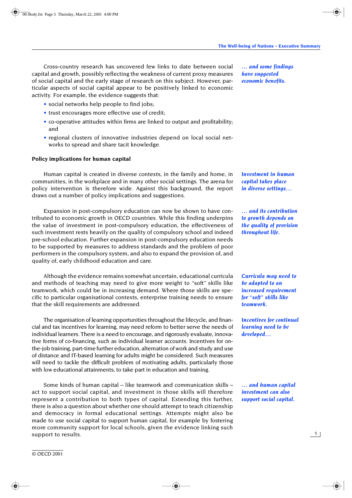Cross-country research has uncovered few links to date between social capital and growth, possibly reflecting the weakness of current proxy measures of social capital and the early stage of research on this subject. However, particular aspects of social capital appear to be positively linked to economic activity. For example, the evidence suggests that:

- social networks help people to find jobs;
- trust encourages more effective use of credit;
- co-operative attitudes within firms are linked to output and profitability; and
- regional clusters of innovative industries depend on local social networks to spread and share tacit knowledge.

### **Policy implications for human capital**

© OECD 2001

Human capital is created in diverse contexts, in the family and home, in communities, in the workplace and in many other social settings. The arena for policy intervention is therefore wide. Against this background, the report draws out a number of policy implications and suggestions.

Expansion in post-compulsory education can now be shown to have contributed to economic growth in OECD countries. While this finding underpins the value of investment in post-compulsory education, the effectiveness of such investment rests heavily on the quality of compulsory school and indeed pre-school education. Further expansion in post-compulsory education needs to be supported by measures to address standards and the problem of poor performers in the compulsory system, and also to expand the provision of, and quality of, early childhood education and care.

Although the evidence remains somewhat uncertain, educational curricula and methods of teaching may need to give more weight to "soft" skills like teamwork, which could be in increasing demand. Where those skills are specific to particular organisational contexts, enterprise training needs to ensure that the skill requirements are addressed.

The organisation of learning opportunities throughout the lifecycle, and financial and tax incentives for learning, may need reform to better serve the needs of individual learners. There is a need to encourage, and rigorously evaluate, innovative forms of co-financing, such as individual learner accounts. Incentives for onthe-job training, part-time further education, alternation of work and study and use of distance and IT-based learning for adults might be considered. Such measures will need to tackle the difficult problem of motivating adults, particularly those with low educational attainments, to take part in education and training.

Some kinds of human capital – like teamwork and communication skills – act to support social capital, and investment in those skills will therefore represent a contribution to both types of capital. Extending this further, there is also a question about whether one should attempt to teach citizenship and democracy in formal educational settings. Attempts might also be made to use social capital to support human capital, for example by fostering more community support for local schools, given the evidence linking such support to results.

*… and some findings have suggested economic benefits.*

*Investment in human capital takes place in diverse settings…*

*… and its contribution to growth depends on the quality of provision throughout life.*

*Curricula may need to be adapted to an increased requirement for "soft" skills like teamwork.*

*Incentives for continual learning need to be developed…*

*… and human capital investment can also support social capital.*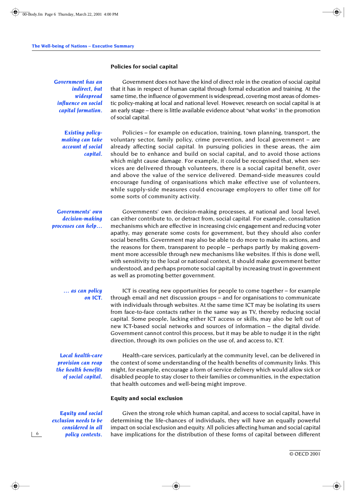### **Policies for social capital**

*Government has an indirect, but widespread influence on social capital formation.*

> *Existing policymaking can take account of social capital.*

Government does not have the kind of direct role in the creation of social capital that it has in respect of human capital through formal education and training. At the same time, the influence of government is widespread, covering most areas of domestic policy-making at local and national level. However, research on social capital is at an early stage – there is little available evidence about "what works" in the promotion of social capital.

Policies – for example on education, training, town planning, transport, the voluntary sector, family policy, crime prevention, and local government – are already affecting social capital. In pursuing policies in these areas, the aim should be to enhance and build on social capital, and to avoid those actions which might cause damage. For example, it could be recognised that, when services are delivered through volunteers, there is a social capital benefit, over and above the value of the service delivered. Demand-side measures could encourage funding of organisations which make effective use of volunteers, while supply-side measures could encourage employers to offer time off for some sorts of community activity.

*Governments' own decision-making processes can help…*

Governments' own decision-making processes, at national and local level, can either contribute to, or detract from, social capital. For example, consultation mechanisms which are effective in increasing civic engagement and reducing voter apathy, may generate some costs for government, but they should also confer social benefits. Government may also be able to do more to make its actions, and the reasons for them, transparent to people – perhaps partly by making government more accessible through new mechanisms like websites. If this is done well, with sensitivity to the local or national context, it should make government better understood, and perhaps promote social capital by increasing trust in government as well as promoting better government.

### *… as can policy on ICT.*

ICT is creating new opportunities for people to come together – for example through email and net discussion groups – and for organisations to communicate with individuals through websites. At the same time ICT may be isolating its users from face-to-face contacts rather in the same way as TV, thereby reducing social capital. Some people, lacking either ICT access or skills, may also be left out of new ICT-based social networks and sources of information – the digital divide. Government cannot control this process, but it may be able to nudge it in the right direction, through its own policies on the use of, and access to, ICT.

*Local health-care provision can reap the health benefits of social capital.*

Health-care services, particularly at the community level, can be delivered in the context of some understanding of the health benefits of community links. This might, for example, encourage a form of service delivery which would allow sick or disabled people to stay closer to their families or communities, in the expectation that health outcomes and well-being might improve.

### **Equity and social exclusion**

*Equity and social exclusion needs to be considered in all policy contexts.*

 *6*

Given the strong role which human capital, and access to social capital, have in determining the life-chances of individuals, they will have an equally powerful impact on social exclusion and equity. All policies affecting human and social capital have implications for the distribution of these forms of capital between different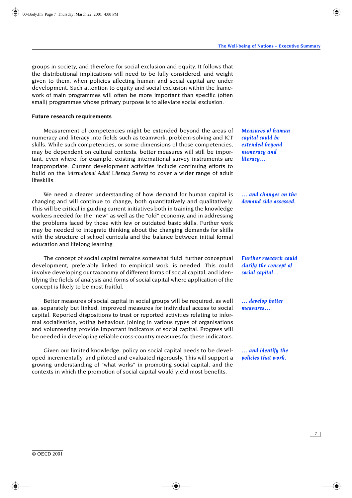groups in society, and therefore for social exclusion and equity. It follows that the distributional implications will need to be fully considered, and weight given to them, when policies affecting human and social capital are under development. Such attention to equity and social exclusion within the framework of main programmes will often be more important than specific (often small) programmes whose primary purpose is to alleviate social exclusion.

### **Future research requirements**

Measurement of competencies might be extended beyond the areas of numeracy and literacy into fields such as teamwork, problem-solving and ICT skills. While such competencies, or some dimensions of those competencies, may be dependent on cultural contexts, better measures will still be important, even where, for example, existing international survey instruments are inappropriate. Current development activities include continuing efforts to build on the *International Adult Literacy Survey* to cover a wider range of adult lifeskills.

We need a clearer understanding of how demand for human capital is changing and will continue to change, both quantitatively and qualitatively. This will be critical in guiding current initiatives both in training the knowledge workers needed for the "new" as well as the "old" economy, and in addressing the problems faced by those with few or outdated basic skills. Further work may be needed to integrate thinking about the changing demands for skills with the structure of school curricula and the balance between initial formal education and lifelong learning.

The concept of social capital remains somewhat fluid: further conceptual development, preferably linked to empirical work, is needed. This could involve developing our taxonomy of different forms of social capital, and identifying the fields of analysis and forms of social capital where application of the concept is likely to be most fruitful.

Better measures of social capital in social groups will be required, as well as, separately but linked, improved measures for individual access to social capital. Reported dispositions to trust or reported activities relating to informal socialisation, voting behaviour, joining in various types of organisations and volunteering provide important indicators of social capital. Progress will be needed in developing reliable cross-country measures for these indicators.

Given our limited knowledge, policy on social capital needs to be developed incrementally, and piloted and evaluated rigorously. This will support a growing understanding of "what works" in promoting social capital, and the contexts in which the promotion of social capital would yield most benefits.

*Measures of human capital could be extended beyond numeracy and literacy…*

*… and changes on the demand side assessed.*

*Further research could clarify the concept of social capital…*

*… develop better measures…*

*… and identify the policies that work.*